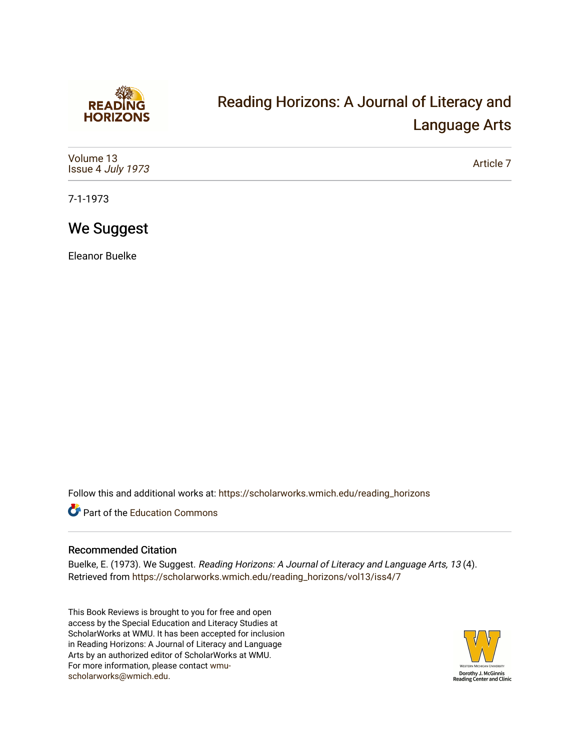

# [Reading Horizons: A Journal of Literacy and](https://scholarworks.wmich.edu/reading_horizons)  [Language Arts](https://scholarworks.wmich.edu/reading_horizons)

| Volume 13<br>Issue 4 July 1973 | Article 7 |
|--------------------------------|-----------|
|--------------------------------|-----------|

7-1-1973

### We Suggest

Eleanor Buelke

Follow this and additional works at: [https://scholarworks.wmich.edu/reading\\_horizons](https://scholarworks.wmich.edu/reading_horizons?utm_source=scholarworks.wmich.edu%2Freading_horizons%2Fvol13%2Fiss4%2F7&utm_medium=PDF&utm_campaign=PDFCoverPages)

Part of the [Education Commons](http://network.bepress.com/hgg/discipline/784?utm_source=scholarworks.wmich.edu%2Freading_horizons%2Fvol13%2Fiss4%2F7&utm_medium=PDF&utm_campaign=PDFCoverPages)

#### Recommended Citation

Buelke, E. (1973). We Suggest. Reading Horizons: A Journal of Literacy and Language Arts, 13 (4). Retrieved from [https://scholarworks.wmich.edu/reading\\_horizons/vol13/iss4/7](https://scholarworks.wmich.edu/reading_horizons/vol13/iss4/7?utm_source=scholarworks.wmich.edu%2Freading_horizons%2Fvol13%2Fiss4%2F7&utm_medium=PDF&utm_campaign=PDFCoverPages) 

This Book Reviews is brought to you for free and open access by the Special Education and Literacy Studies at ScholarWorks at WMU. It has been accepted for inclusion in Reading Horizons: A Journal of Literacy and Language Arts by an authorized editor of ScholarWorks at WMU. For more information, please contact [wmu](mailto:wmu-scholarworks@wmich.edu)[scholarworks@wmich.edu.](mailto:wmu-scholarworks@wmich.edu)

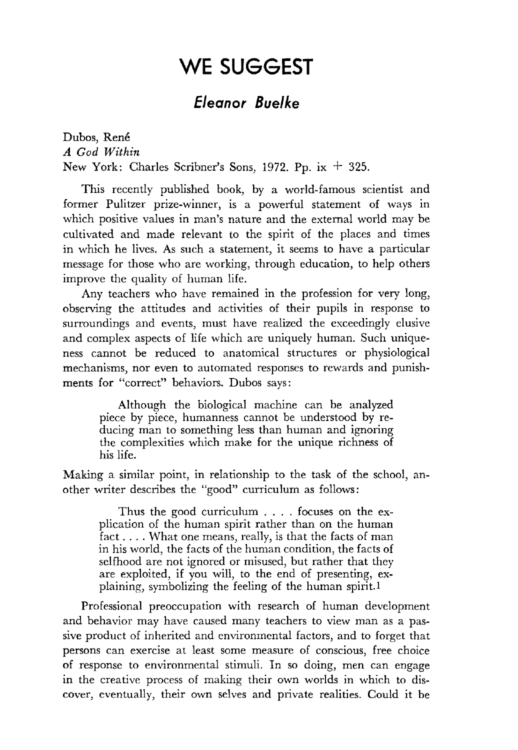## WE SUGGEST

### *Eleanor Buelke*

Dubos, René *A God Within*  New York: Charles Scribner's Sons, 1972. Pp. ix  $+$  325.

This recently published book, by a world-famous scientist and former Pulitzer prize-winner, is a powerful statement of ways in which positive values in man's nature and the external world may be cultivated and made relevant to the spirit of the places and times in which he lives. As such a statement, it seems to have a particular message for those who are working, through education, to help others improve the quality of human life.

Any teachers who have remained in the profession for very long, observing the attitudes and activities of their pupils in response to surroundings and events, must have realized the exceedingly elusive and complex aspects of life which are uniquely human. Such uniqueness cannot be reduced to anatomical structures or physiological mechanisms, nor even to automated responses to rewards and punishments for "correct" behaviors. Dubos says:

Although the biological machine can be analyzed piece by piece, humanness cannot be understood by reducing man to something less than human and ignoring the complexities which make for the unique richness of his life.

Making a similar point, in relationship to the task of the school, another writer describes the "good" curriculum as follows:

Thus the good curriculum . . . . focuses on the explication of the human spirit rather than on the human fact .... What one means, really, is that the facts of man in his world, the facts of the human condition, the facts of selfhood are not ignored or misused, but rather that they are exploited, if you will, to the end of presenting, explaining, symbolizing the feeling of the human spirit.1

Professional preoccupation with research of human development and behavior may have caused many teachers to view man as a passive product of inherited and environmental factors, and to forget that persons can exercise at least some measure of conscious, free choice of response to environmental stimuli. In so doing, men can engage in the creative process of making their own worlds in which to discover, eventually, their own selves and private realities. Could it be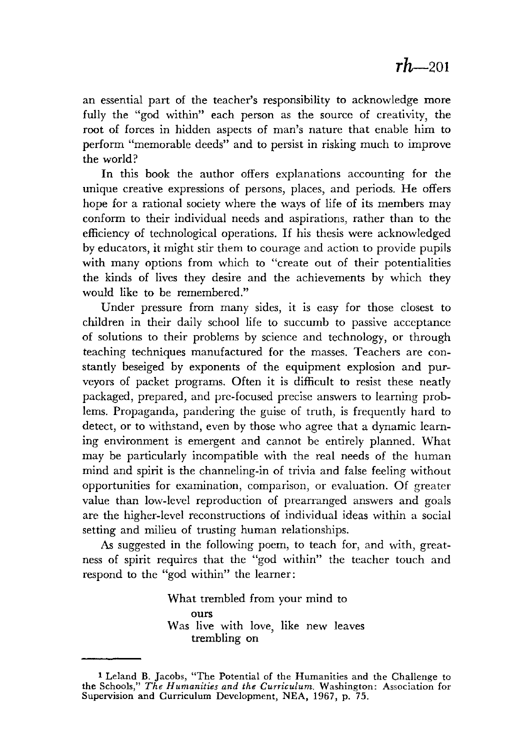an essential part of the teacher's responsibility to acknowledge more fully the "god within" each person as the source of creativity, the root of forces in hidden aspects of man's nature that enable him to perform "memorable deeds" and to persist in risking much to improve the world?

**In** this book the author offers explanations accounting for the unique creative expressions of persons, places, and periods. He offers hope for a rational society where the ways of life of its members may conform to their individual needs and aspirations, rather than to the efficiency of technological operations. If his thesis were acknowledged by educators, it might stir them to courage and action to provide pupils with many options from which to "create out of their potentialities the kinds of lives they desire and the achievements by which they would like to be remembered."

Under pressure from many sides, it is easy for those closest to children in their daily school life to succumb to passive acceptance of solutions to their problems by science and technology, or through teaching techniques manufactured for the masses. Teachers are constantly beseiged by exponents of the equipment explosion and purveyors of packet programs. Often it is difficult to resist these neatly packaged, prepared, and pre-focused precise answers to learning problems. Propaganda, pandering the guise of truth, is frequently hard to detect, or to withstand, even by those who agree that a dynamic learning environment is emergent and cannot be entirely planned. What may be particularly incompatible with the real needs of the human mind and spirit is the channeling-in of trivia and false feeling without opportunities for examination, comparison, or evaluation. Of greater value than low-level reproduction of prearranged answers and goals are the higher-level reconstructions of individual ideas within a social setting and milieu of trusting human relationships.

As suggested in the following poem, to teach for, and with, greatness of spirit requires that the "god within" the teacher touch and respond to the "god within" the learner:

> What trembled from your mind to ours Was live with love, like new leaves trembling on

<sup>1</sup>Leland B. Jacobs, "The Potential of the Humanities and the Challenge to the Schools," *The Humanities and the Curriculum.* Washington: Association for Supervision and Curriculum Development, NEA, 1967, p. 75.